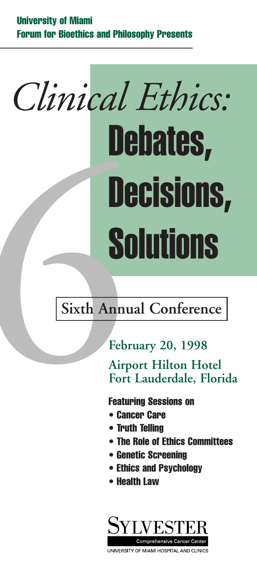# **Debates, Decisions, Solutions** *Clinical Ethics:* **Solutions**<br>
Sixth Annual Conference<br>
February 20, 1998<br>
Airport Hilton Hotel<br>
Fort Lauderdale, Flor<br>
Featuring Sessions on<br>
Center Care<br>
Truth Telling<br>
Furth Telling<br>
Truth Telling

### **February 20, 1998**

**Airport Hilton Hotel Fort Lauderdale, Florida**

**Featuring Sessions on**

- **• Cancer Care**
- **• Truth Telling**
- **• The Role of Ethics Committees**
- **• Genetic Screening**
- **• Ethics and Psychology**
- **• Health Law**

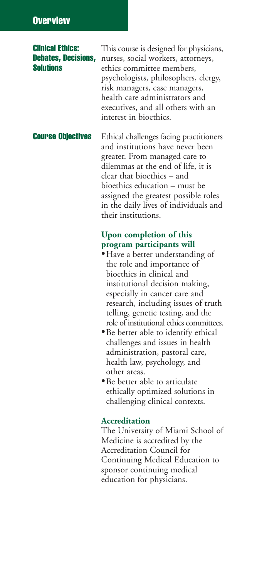#### **Overview**

**Clinical Ethics:** This course is designed for physicians, **Debates, Decisions,** nurses, social workers, attorneys, ethics committee members, psychologists, philosophers, clergy, risk managers, case managers, health care administrators and executives, and all others with an interest in bioethics.

**Course Objectives** Ethical challenges facing practitioners and institutions have never been greater. From managed care to dilemmas at the end of life, it is clear that bioethics – and bioethics education – must be assigned the greatest possible roles in the daily lives of individuals and their institutions.

#### **Upon completion of this program participants will**

- •Have a better understanding of the role and importance of bioethics in clinical and institutional decision making, especially in cancer care and research, including issues of truth telling, genetic testing, and the role of institutional ethics committees.
- •Be better able to identify ethical challenges and issues in health administration, pastoral care, health law, psychology, and other areas.
- •Be better able to articulate ethically optimized solutions in challenging clinical contexts.

#### **Accreditation**

The University of Miami School of Medicine is accredited by the Accreditation Council for Continuing Medical Education to sponsor continuing medical education for physicians.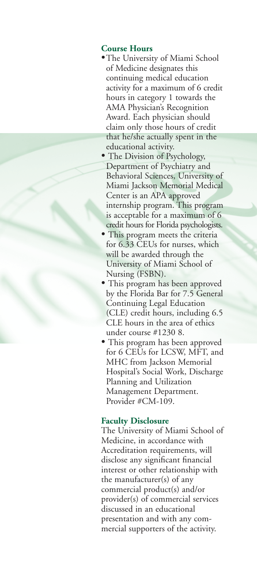#### **Course Hours**

- •The University of Miami School of Medicine designates this continuing medical education activity for a maximum of 6 credit hours in category 1 towards the AMA Physician's Recognition Award. Each physician should claim only those hours of credit that he/she actually spent in the educational activity.
- The Division of Psychology, Department of Psychiatry and Behavioral Sciences, University of Miami Jackson Memorial Medical Center is an APA approved internship program. This program is acceptable for a maximum of 6 credit hours for Florida psychologists.
- This program meets the criteria for 6.33 CEUs for nurses, which will be awarded through the University of Miami School of Nursing (FSBN).
- This program has been approved by the Florida Bar for 7.5 General Continuing Legal Education (CLE) credit hours, including 6.5 CLE hours in the area of ethics under course #1230 8.
- This program has been approved for 6 CEUs for LCSW, MFT, and MHC from Jackson Memorial Hospital's Social Work, Discharge Planning and Utilization Management Department. Provider #CM-109.

#### **Faculty Disclosure**

The University of Miami School of Medicine, in accordance with Accreditation requirements, will disclose any significant financial interest or other relationship with the manufacturer(s) of any commercial product(s) and/or provider(s) of commercial services discussed in an educational presentation and with any commercial supporters of the activity.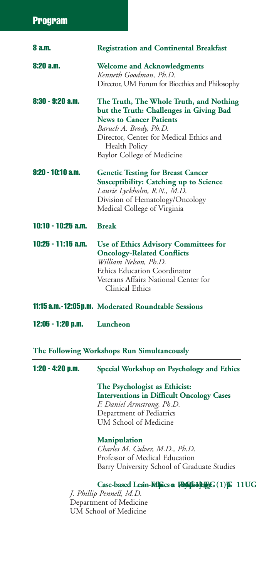| 8 a.m.             | <b>Registration and Continental Breakfast</b>                                                                                                                                                                                            |
|--------------------|------------------------------------------------------------------------------------------------------------------------------------------------------------------------------------------------------------------------------------------|
| 8:20 a.m.          | <b>Welcome and Acknowledgments</b><br>Kenneth Goodman, Ph.D.<br>Director, UM Forum for Bioethics and Philosophy                                                                                                                          |
| 8:30 - 9:20 a.m.   | The Truth, The Whole Truth, and Nothing<br>but the Truth: Challenges in Giving Bad<br><b>News to Cancer Patients</b><br>Baruch A. Brody, Ph.D.<br>Director, Center for Medical Ethics and<br>Health Policy<br>Baylor College of Medicine |
| 9:20 - 10:10 a.m.  | <b>Genetic Testing for Breast Cancer</b><br>Susceptibility: Catching up to Science<br>Laurie Lyckholm, R.N., M.D.<br>Division of Hematology/Oncology<br>Medical College of Virginia                                                      |
| 10:10 - 10:25 a.m. | <b>Break</b>                                                                                                                                                                                                                             |
| 10:25 - 11:15 a.m. | Use of Ethics Advisory Committees for<br><b>Oncology-Related Conflicts</b><br>William Nelson, Ph.D.<br>Ethics Education Coordinator<br>Veterans Affairs National Center for<br>Clinical Ethics                                           |
|                    | <b>11:15 a.m.-12:05 p.m.</b> Moderated Roundtable Sessions                                                                                                                                                                               |
| 12:05 - 1:20 p.m.  | Luncheon                                                                                                                                                                                                                                 |
|                    | The Following Workshops Run Simultaneously                                                                                                                                                                                               |
| 1:20 - 4:20 p.m.   | Special Workshop on Psychology and Ethics                                                                                                                                                                                                |
|                    | The Psychologist as Ethicist:<br><b>Interventions in Difficult Oncology Cases</b><br>F. Daniel Armstrong, Ph.D.<br>Department of Pediatrics<br><b>UM School of Medicine</b>                                                              |
|                    | <b>Manipulation</b><br>Charles M. Culver, M.D., Ph.D.<br>Professor of Medical Education<br>Barry University School of Graduate Studies                                                                                                   |
|                    | Case-based LeanMighiles A. Hiddogy<br>J. Phillip Pennell, M.D.<br>$\therefore$ $C \times T$ 1.                                                                                                                                           |

Department of Medicine UM School of Medicine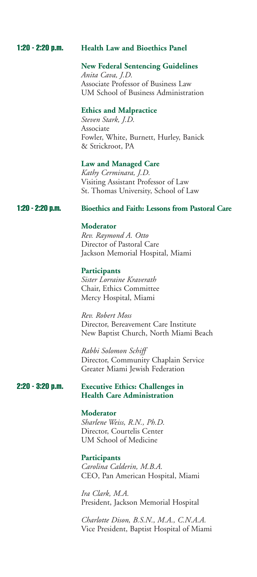#### **1:20 - 2:20 p.m. Health Law and Bioethics Panel**

#### **New Federal Sentencing Guidelines**

*Anita Cava, J.D.* Associate Professor of Business Law UM School of Business Administration

#### **Ethics and Malpractice**

*Steven Stark, J.D.* Associate Fowler, White, Burnett, Hurley, Banick & Strickroot, PA

#### **Law and Managed Care**

*Kathy Cerminara, J.D.* Visiting Assistant Professor of Law St. Thomas University, School of Law

#### **1:20 - 2:20 p.m. Bioethics and Faith: Lessons from Pastoral Care**

#### **Moderator**

*Rev. Raymond A. Otto* Director of Pastoral Care Jackson Memorial Hospital, Miami

#### **Participants**

*Sister Lorraine Kraverath* Chair, Ethics Committee Mercy Hospital, Miami

*Rev. Robert Moss* Director, Bereavement Care Institute New Baptist Church, North Miami Beach

*Rabbi Solomon Schiff* Director, Community Chaplain Service Greater Miami Jewish Federation

#### **2:20 - 3:20 p.m. Executive Ethics: Challenges in Health Care Administration**

#### **Moderator**

*Sharlene Weiss, R.N., Ph.D.* Director, Courtelis Center UM School of Medicine

#### **Participants**

*Carolina Calderin, M.B.A.* CEO, Pan American Hospital, Miami

*Ira Clark, M.A.* President, Jackson Memorial Hospital

*Charlotte Dison, B.S.N., M.A., C.N.A.A.* Vice President, Baptist Hospital of Miami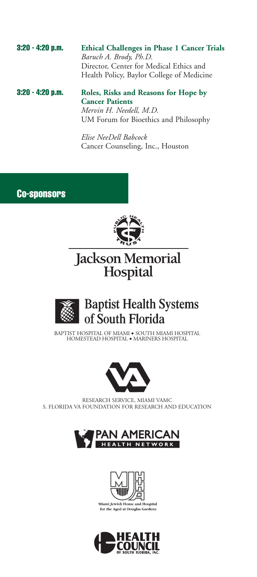**3:20 - 4:20 p.m. Ethical Challenges in Phase 1 Cancer Trials** *Baruch A. Brody, Ph.D.* Director, Center for Medical Ethics and Health Policy, Baylor College of Medicine

**3:20 - 4:20 p.m. Roles, Risks and Reasons for Hope by Cancer Patients** *Mervin H. Needell, M.D.* UM Forum for Bioethics and Philosophy

> *Elise NeeDell Babcock* Cancer Counseling, Inc., Houston

**Co-sponsors**



## Jackson Memorial<br>Hospital



### **Baptist Health Systems** of South Florida

BAPTIST HOSPITAL OF MIAMI • SOUTH MIAMI HOSPITAL HOMESTEAD HOSPITAL • MARINERS HOSPITAL



RESEARCH SERVICE, MIAMI VAMC S. FLORIDA VA FOUNDATION FOR RESEARCH AND EDUCATION





Miami Jewish Home and Hospital for the Aged at Douglas Gardens

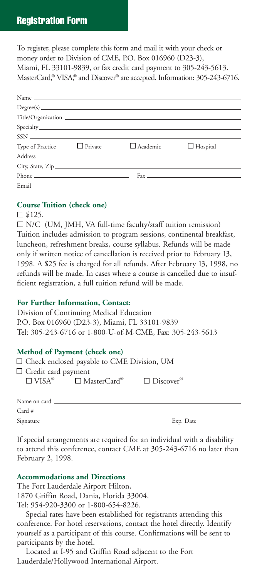#### **Registration Form**

To register, please complete this form and mail it with your check or money order to Division of CME, P.O. Box 016960 (D23-3), Miami, FL 33101-9839, or fax credit card payment to 305-243-5613. MasterCard, ® VISA, ® and Discover ® are accepted. Information: 305-243-6716.

|                                 |                                 | $SSN$                                                                                                                                                                                                                                |
|---------------------------------|---------------------------------|--------------------------------------------------------------------------------------------------------------------------------------------------------------------------------------------------------------------------------------|
| Type of Practice $\Box$ Private | $\Box$ Academic $\Box$ Hospital |                                                                                                                                                                                                                                      |
|                                 |                                 |                                                                                                                                                                                                                                      |
|                                 |                                 |                                                                                                                                                                                                                                      |
|                                 |                                 | Phone $\qquad \qquad$ Fax $\qquad \qquad$ Fax $\qquad \qquad$                                                                                                                                                                        |
|                                 |                                 | Email <u>and the community of the community of the community of the community of the community of the community of the community of the community of the community of the community of the community of the community of the com</u> |

#### **Course Tuition (check one)**

#### $\square$  \$125.

N/C (UM, JMH, VA full-time faculty/staff tuition remission) Tuition includes admission to program sessions, continental breakfast, luncheon, refreshment breaks, course syllabus. Refunds will be made only if written notice of cancellation is received prior to February 13, 1998. A \$25 fee is charged for all refunds. After February 13, 1998, no refunds will be made. In cases where a course is cancelled due to insufficient registration, a full tuition refund will be made.

#### **For Further Information, Contact:**

Division of Continuing Medical Education P.O. Box 016960 (D23-3), Miami, FL 33101-9839 Tel: 305-243-6716 or 1-800-U-of-M-CME, Fax: 305-243-5613

#### **Method of Payment (check one)**

|  | $\Box$ Check enclosed payable to CME Division, UM |  |  |
|--|---------------------------------------------------|--|--|
|  |                                                   |  |  |

Credit card payment  $\square$  VISA®  $\square$  MasterCard®

 $\square$  Discover®

| Name on card    |                                                          |
|-----------------|----------------------------------------------------------|
| Card # $\qquad$ |                                                          |
| Signature       | $Exp.$ Date $\_\_\_\_\_\_\_\_\_\_\_\_\_\_\_\_\_\_\_\_\_$ |
|                 |                                                          |

If special arrangements are required for an individual with a disability to attend this conference, contact CME at 305-243-6716 no later than February 2, 1998.

#### **Accommodations and Directions**

The Fort Lauderdale Airport Hilton, 1870 Griffin Road, Dania, Florida 33004. Tel: 954-920-3300 or 1-800-654-8226.

Special rates have been established for registrants attending this conference. For hotel reservations, contact the hotel directly. Identify yourself as a participant of this course. Confirmations will be sent to participants by the hotel.

Located at I-95 and Griffin Road adjacent to the Fort Lauderdale/Hollywood International Airport.